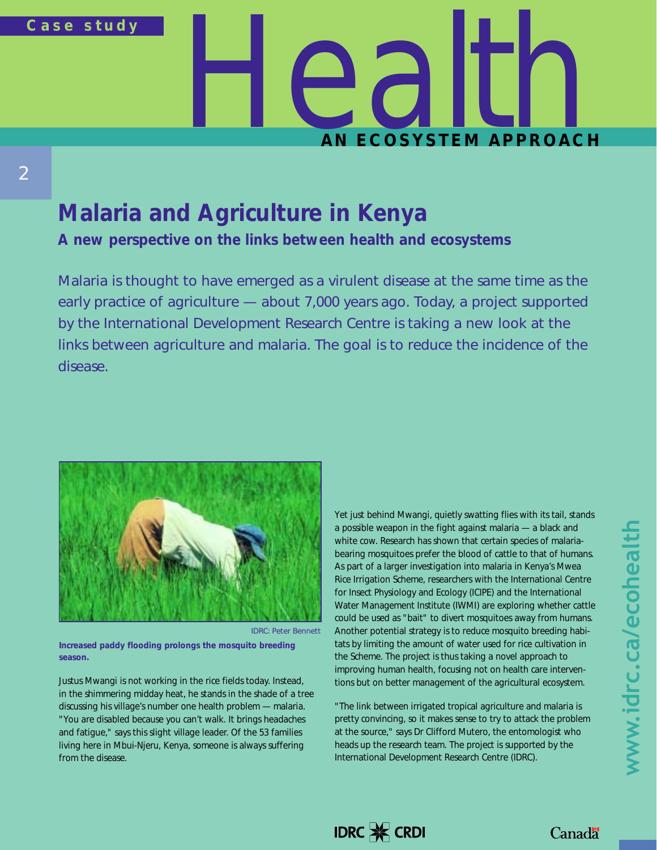

# **Malaria and Agriculture in Kenya**

2

**A new perspective on the links between health and ecosystems**

*Malaria is thought to have emerged as a virulent disease at the same time as the early practice of agriculture — about 7,000 years ago. Today, a project supported by the International Development Research Centre is taking a new look at the links between agriculture and malaria. The goal is to reduce the incidence of the disease.* 



IDRC: Peter Bennett

**Increased paddy flooding prolongs the mosquito breeding season.**

Justus Mwangi is not working in the rice fields today. Instead, in the shimmering midday heat, he stands in the shade of a tree discussing his village's number one health problem — malaria. "You are disabled because you can't walk. It brings headaches and fatigue," says this slight village leader. Of the 53 families living here in Mbui-Njeru, Kenya, someone is always suffering from the disease.

Yet just behind Mwangi, quietly swatting flies with its tail, stands a possible weapon in the fight against malaria — a black and white cow. Research has shown that certain species of malariabearing mosquitoes prefer the blood of cattle to that of humans. As part of a larger investigation into malaria in Kenya's Mwea Rice Irrigation Scheme, researchers with the International Centre for Insect Physiology and Ecology (ICIPE) and the International Water Management Institute (IWMI) are exploring whether cattle could be used as "bait" to divert mosquitoes away from humans. Another potential strategy is to reduce mosquito breeding habitats by limiting the amount of water used for rice cultivation in the Scheme. The project is thus taking a novel approach to improving human health, focusing not on health care interventions but on better management of the agricultural ecosystem.

"The link between irrigated tropical agriculture and malaria is pretty convincing, so it makes sense to try to attack the problem at the source," says Dr Clifford Mutero, the entomologist who heads up the research team. The project is supported by the International Development Research Centre (IDRC).



### **Canadä**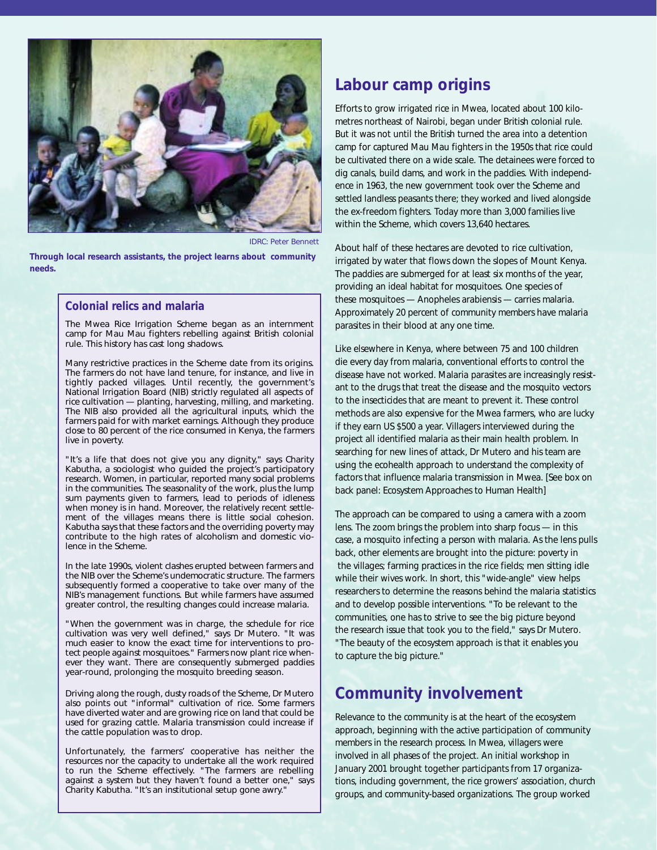

IDRC: Peter Bennett

**Through local research assistants, the project learns about community needs.**

#### **Colonial relics and malaria**

The Mwea Rice Irrigation Scheme began as an internment camp for Mau Mau fighters rebelling against British colonial rule. This history has cast long shadows.

Many restrictive practices in the Scheme date from its origins. The farmers do not have land tenure, for instance, and live in tightly packed villages. Until recently, the government's National Irrigation Board (NIB) strictly regulated all aspects of rice cultivation — planting, harvesting, milling, and marketing. The NIB also provided all the agricultural inputs, which the farmers paid for with market earnings. Although they produce close to 80 percent of the rice consumed in Kenya, the farmers live in poverty.

"It's a life that does not give you any dignity," says Charity Kabutha, a sociologist who guided the project's participatory research. Women, in particular, reported many social problems in the communities. The seasonality of the work, plus the lump sum payments given to farmers, lead to periods of idleness when money is in hand. Moreover, the relatively recent settlement of the villages means there is little social cohesion. Kabutha says that these factors and the overriding poverty may contribute to the high rates of alcoholism and domestic violence in the Scheme.

In the late 1990s, violent clashes erupted between farmers and the NIB over the Scheme's undemocratic structure. The farmers subsequently formed a cooperative to take over many of the NIB's management functions. But while farmers have assumed greater control, the resulting changes could increase malaria.

"When the government was in charge, the schedule for rice cultivation was very well defined," says Dr Mutero. "It was much easier to know the exact time for interventions to protect people against mosquitoes." Farmers now plant rice whenever they want. There are consequently submerged paddies year-round, prolonging the mosquito breeding season.

Driving along the rough, dusty roads of the Scheme, Dr Mutero also points out "informal" cultivation of rice. Some farmers have diverted water and are growing rice on land that could be used for grazing cattle. Malaria transmission could increase if the cattle population was to drop.

Unfortunately, the farmers' cooperative has neither the resources nor the capacity to undertake all the work required to run the Scheme effectively. "The farmers are rebelling against a system but they haven't found a better one," says Charity Kabutha. "It's an institutional setup gone awry."

# **Labour camp origins**

Efforts to grow irrigated rice in Mwea, located about 100 kilometres northeast of Nairobi, began under British colonial rule. But it was not until the British turned the area into a detention camp for captured Mau Mau fighters in the 1950s that rice could be cultivated there on a wide scale. The detainees were forced to dig canals, build dams, and work in the paddies. With independence in 1963, the new government took over the Scheme and settled landless peasants there; they worked and lived alongside the ex-freedom fighters. Today more than 3,000 families live within the Scheme, which covers 13,640 hectares.

About half of these hectares are devoted to rice cultivation, irrigated by water that flows down the slopes of Mount Kenya. The paddies are submerged for at least six months of the year, providing an ideal habitat for mosquitoes. One species of these mosquitoes — *Anopheles arabiensis* — carries malaria. Approximately 20 percent of community members have malaria parasites in their blood at any one time.

Like elsewhere in Kenya, where between 75 and 100 children die every day from malaria, conventional efforts to control the disease have not worked. Malaria parasites are increasingly resistant to the drugs that treat the disease and the mosquito vectors to the insecticides that are meant to prevent it. These control methods are also expensive for the Mwea farmers, who are lucky if they earn US \$500 a year. Villagers interviewed during the project all identified malaria as their main health problem. In searching for new lines of attack, Dr Mutero and his team are using the ecohealth approach to understand the complexity of factors that influence malaria transmission in Mwea. [*See box on back panel: Ecosystem Approaches to Human Health*]

The approach can be compared to using a camera with a zoom lens. The zoom brings the problem into sharp focus — in this case, a mosquito infecting a person with malaria. As the lens pulls back, other elements are brought into the picture: poverty in the villages; farming practices in the rice fields; men sitting idle while their wives work. In short, this "wide-angle" view helps researchers to determine the reasons behind the malaria statistics and to develop possible interventions. "To be relevant to the communities, one has to strive to see the big picture beyond the research issue that took you to the field," says Dr Mutero. "The beauty of the ecosystem approach is that it enables you to capture the big picture."

# **Community involvement**

Relevance to the community is at the heart of the ecosystem approach, beginning with the active participation of community members in the research process. In Mwea, villagers were involved in all phases of the project. An initial workshop in January 2001 brought together participants from 17 organizations, including government, the rice growers' association, church groups, and community-based organizations. The group worked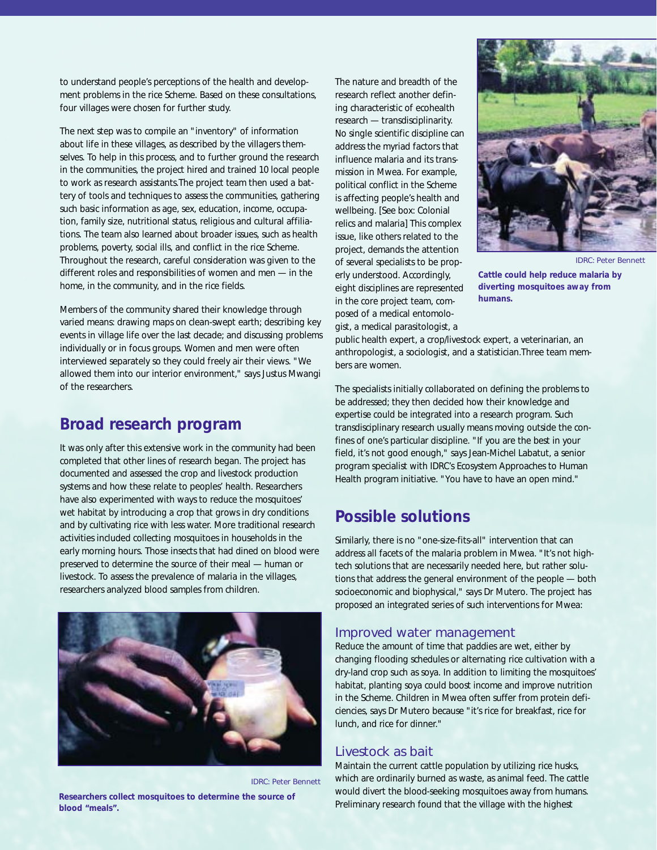to understand people's perceptions of the health and development problems in the rice Scheme. Based on these consultations, four villages were chosen for further study.

The next step was to compile an "inventory" of information about life in these villages, as described by the villagers themselves. To help in this process, and to further ground the research in the communities, the project hired and trained 10 local people to work as research assistants.The project team then used a battery of tools and techniques to assess the communities, gathering such basic information as age, sex, education, income, occupation, family size, nutritional status, religious and cultural affiliations. The team also learned about broader issues, such as health problems, poverty, social ills, and conflict in the rice Scheme. Throughout the research, careful consideration was given to the different roles and responsibilities of women and men — in the home, in the community, and in the rice fields.

Members of the community shared their knowledge through varied means: drawing maps on clean-swept earth; describing key events in village life over the last decade; and discussing problems individually or in focus groups. Women and men were often interviewed separately so they could freely air their views. "We allowed them into our interior environment," says Justus Mwangi of the researchers.

## **Broad research program**

It was only after this extensive work in the community had been completed that other lines of research began. The project has documented and assessed the crop and livestock production systems and how these relate to peoples' health. Researchers have also experimented with ways to reduce the mosquitoes' wet habitat by introducing a crop that grows in dry conditions and by cultivating rice with less water. More traditional research activities included collecting mosquitoes in households in the early morning hours. Those insects that had dined on blood were preserved to determine the source of their meal — human or livestock. To assess the prevalence of malaria in the villages, researchers analyzed blood samples from children.



IDRC: Peter Bennett

**Researchers collect mosquitoes to determine the source of blood "meals".**

The nature and breadth of the research reflect another defining characteristic of ecohealth research — transdisciplinarity. No single scientific discipline can address the myriad factors that influence malaria and its transmission in Mwea. For example, political conflict in the Scheme is affecting people's health and wellbeing. [*See box: Colonial relics and malaria*] This complex issue, like others related to the project, demands the attention of several specialists to be properly understood. Accordingly, eight disciplines are represented in the core project team, composed of a medical entomologist, a medical parasitologist, a



**Cattle could help reduce malaria by diverting mosquitoes away from humans.**

public health expert, a crop/livestock expert, a veterinarian, an anthropologist, a sociologist, and a statistician.Three team members are women.

The specialists initially collaborated on defining the problems to be addressed; they then decided how their knowledge and expertise could be integrated into a research program. Such transdisciplinary research usually means moving outside the confines of one's particular discipline. "If you are the best in your field, it's not good enough," says Jean-Michel Labatut, a senior program specialist with IDRC's Ecosystem Approaches to Human Health program initiative. "You have to have an open mind."

# **Possible solutions**

Similarly, there is no "one-size-fits-all" intervention that can address all facets of the malaria problem in Mwea. "It's not hightech solutions that are necessarily needed here, but rather solutions that address the general environment of the people — both socioeconomic and biophysical," says Dr Mutero. The project has proposed an integrated series of such interventions for Mwea:

#### Improved water management

Reduce the amount of time that paddies are wet, either by changing flooding schedules or alternating rice cultivation with a dry-land crop such as soya. In addition to limiting the mosquitoes' habitat, planting soya could boost income and improve nutrition in the Scheme. Children in Mwea often suffer from protein deficiencies, says Dr Mutero because "it's rice for breakfast, rice for lunch, and rice for dinner."

#### Livestock as bait

Maintain the current cattle population by utilizing rice husks, which are ordinarily burned as waste, as animal feed. The cattle would divert the blood-seeking mosquitoes away from humans. Preliminary research found that the village with the highest